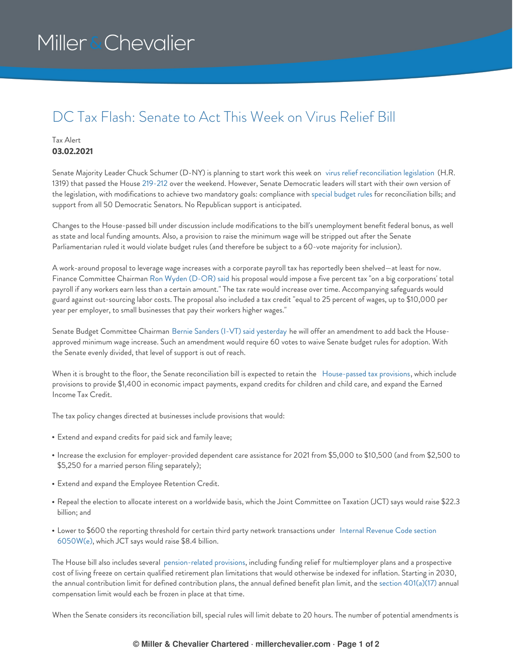# Miller & Chevalier

### DC Tax Flash: Senate to Act This Week on Virus Relief Bill

### Tax Alert **03.02.2021**

Senate Majority Leader Chuck Schumer (D-NY) is planning to start work this week on virus relief [reconciliation](https://www.congress.gov/bill/117th-congress/house-bill/1319) legislation (H.R. 1319) that passed the House [219-212](https://clerk.house.gov/evs/2021/roll049.xml) over the weekend. However, Senate Democratic leaders will start with their own version of the legislation, with modifications to achieve two mandatory goals: compliance with special [budget](https://crsreports.congress.gov/product/pdf/RL/RL30862) rules for reconciliation bills; and support from all 50 Democratic Senators. No Republican support is anticipated.

Changes to the House-passed bill under discussion include modifications to the bill's unemployment benefit federal bonus, as well as state and local funding amounts. Also, a provision to raise the minimum wage will be stripped out after the Senate Parliamentarian ruled it would violate budget rules (and therefore be subject to a 60-vote majority for inclusion).

A work-around proposal to leverage wage increases with a corporate payroll tax has reportedly been shelved—at least for now. Finance Committee Chairman Ron Wyden [\(D-OR\)](https://www.finance.senate.gov/chairmans-news/wyden-statement-on-minimum-wage-plan-b) said his proposal would impose a five percent tax "on a big corporations' total payroll if any workers earn less than a certain amount." The tax rate would increase over time. Accompanying safeguards would guard against out-sourcing labor costs. The proposal also included a tax credit "equal to 25 percent of wages, up to \$10,000 per year per employer, to small businesses that pay their workers higher wages."

Senate Budget Committee Chairman Bernie Sanders (I-VT) said [yesterday](https://www.sanders.senate.gov/press-releases/news-sanders-announces-15-minimum-wage-amendment-to-reconciliation-bill-calls-for-senate-democrats-to-ignore-parliamentarian/) he will offer an amendment to add back the Houseapproved minimum wage increase. Such an amendment would require 60 votes to waive Senate budget rules for adoption. With the Senate evenly divided, that level of support is out of reach.

When it is brought to the floor, the Senate reconciliation bill is expected to retain the [House-passed](https://crsreports.congress.gov/product/pdf/R/R46680) tax provisions, which include provisions to provide \$1,400 in economic impact payments, expand credits for children and child care, and expand the Earned Income Tax Credit.

The tax policy changes directed at businesses include provisions that would:

- Extend and expand credits for paid sick and family leave;
- Increase the exclusion for employer-provided dependent care assistance for 2021 from \$5,000 to \$10,500 (and from \$2,500 to \$5,250 for a married person filing separately);
- Extend and expand the Employee Retention Credit.
- Repeal the election to allocate interest on a worldwide basis, which the Joint Committee on Taxation (JCT) says would raise \$22.3 billion; and
- Lower to \$600 the reporting threshold for certain third party network [transactions](https://uscode.house.gov/view.xhtml?req=(title:26%20section:6050W%20edition:prelim)%20OR%20(granuleid:USC-prelim-title26-section6050W)&f=treesort&edition=prelim&num=0&jumpTo=true#substructure-location_e) under Internal Revenue Code section 6050W(e), which JCT says would raise \$8.4 billion.

The House bill also includes several [pension-related](https://waysandmeans.house.gov/sites/democrats.waysandmeans.house.gov/files/documents/8.%20Retirement%20SxS.pdf) provisions, including funding relief for multiemployer plans and a prospective cost of living freeze on certain qualified retirement plan limitations that would otherwise be indexed for inflation. Starting in 2030, the annual contribution limit for defined contribution plans, the annual defined benefit plan limit, and the section [401\(a\)\(17\)](https://uscode.house.gov/view.xhtml?req=(title:26%20section:401%20edition:prelim)%20OR%20(granuleid:USC-prelim-title26-section401)&f=treesort&edition=prelim&num=0&jumpTo=true#substructure-location_a_17) annual compensation limit would each be frozen in place at that time.

When the Senate considers its reconciliation bill, special rules will limit debate to 20 hours. The number of potential amendments is

#### **© Miller & Chevalier Chartered · millerchevalier.com · Page 1 of 2**